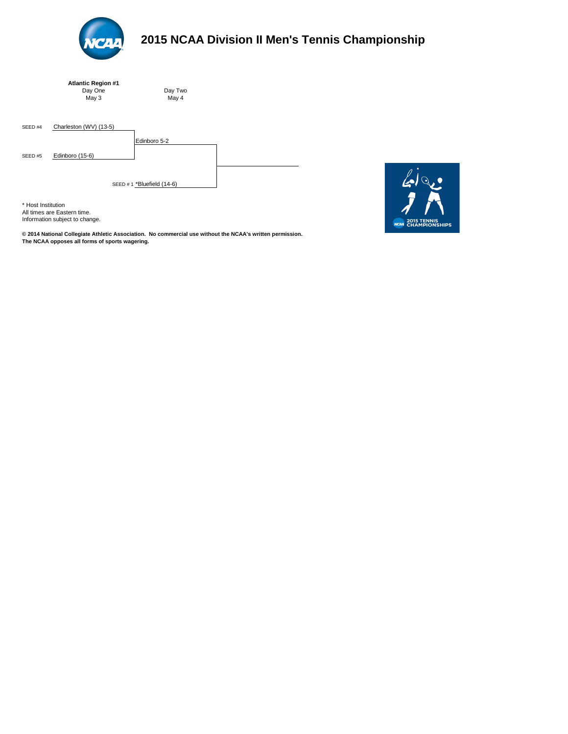| <b>Atlantic Region #1</b> |  |
|---------------------------|--|
| Day One                   |  |
| May 3                     |  |

SEED #4 Charleston (WV) (13-5) Edinboro 5-2 SEED #5 Edinboro (15-6) SEED # 1 \*Bluefield (14-6)

\* Host Institution All times are Eastern time. Information subject to change.



# **2015 NCAA Division II Men's Tennis Championship**

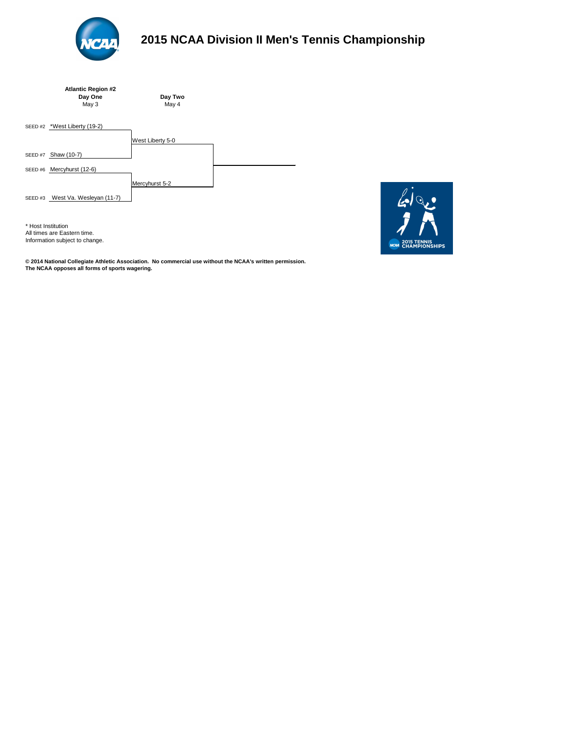



# **2015 NCAA Division II Men's Tennis Championship**

**© 2014 National Collegiate Athletic Association. No commercial use without the NCAA's written permission. The NCAA opposes all forms of sports wagering.** 

\* Host Institution All times are Eastern time. Information subject to change. **NCAA** 2015 TENNIS<br>CHAMPIONSHIPS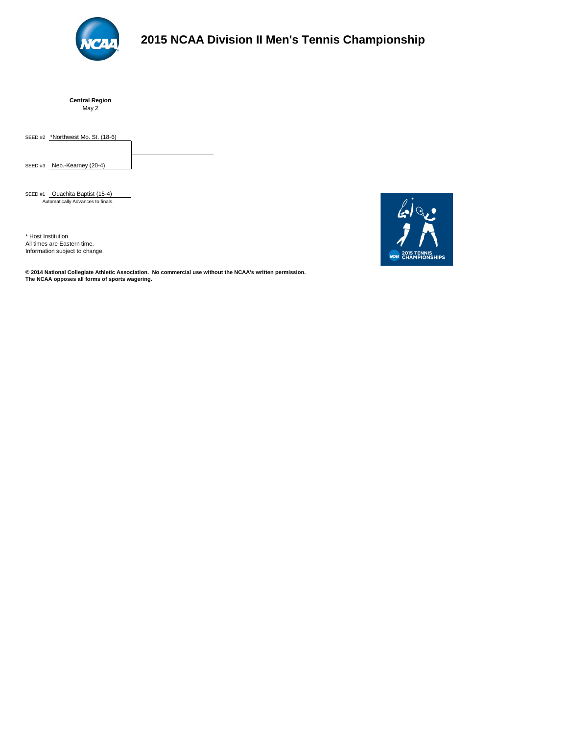**Central Region** May 2

SEED #2 \*Northwest Mo. St. (18-6)

SEED #3 Neb.-Kearney (20-4)



# **2015 NCAA Division II Men's Tennis Championship**

SEED #1 Ouachita Baptist (15-4) Automatically Advances to finals.

\* Host Institution All times are Eastern time. Information subject to change.

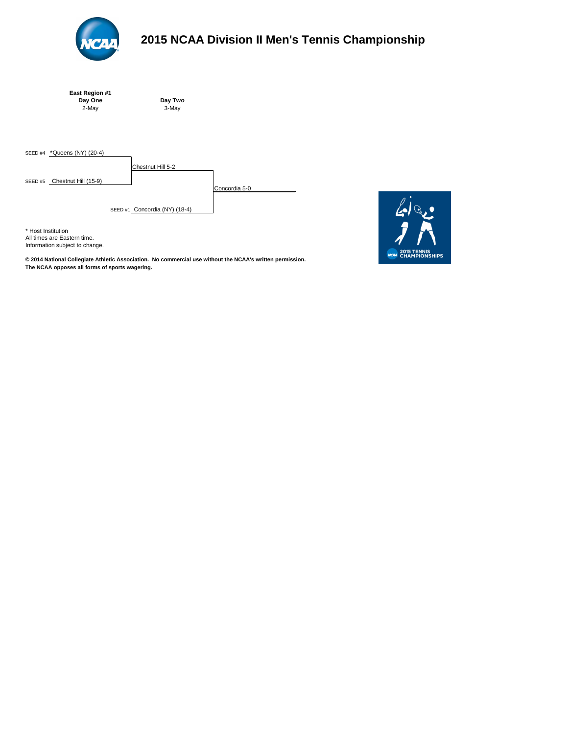| East Region #1 |  |
|----------------|--|
| Day One        |  |
| 2-May          |  |

SEED #4 **\*Queens (NY) (20-4)** Chestnut Hill 5-2 SEED #5 Chestnut Hill (15-9) Concordia 5-0 SEED #1 Concordia (NY) (18-4)

\* Host Institution All times are Eastern time. Information subject to change.



# **2015 NCAA Division II Men's Tennis Championship**

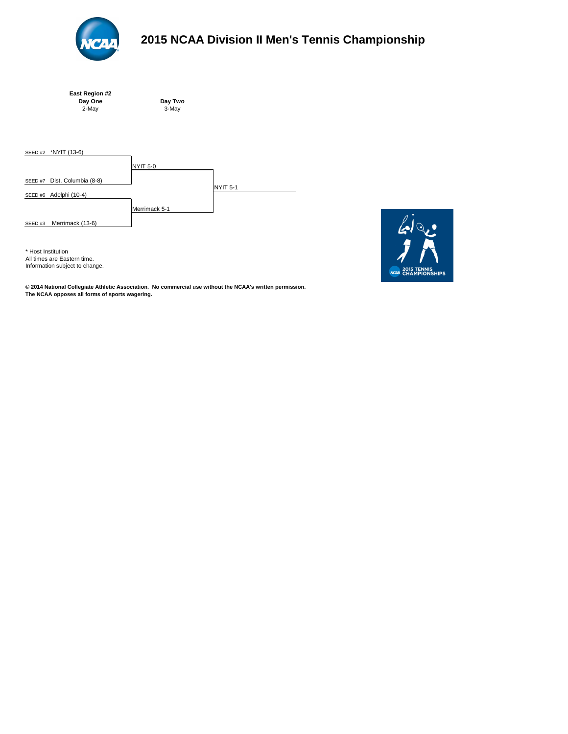| East Region #2 |  |
|----------------|--|
| Day One        |  |
| 2-May          |  |

**Day Two** 2-May 3-May



# **2015 NCAA Division II Men's Tennis Championship**



\* Host Institution All times are Eastern time. Information subject to change.

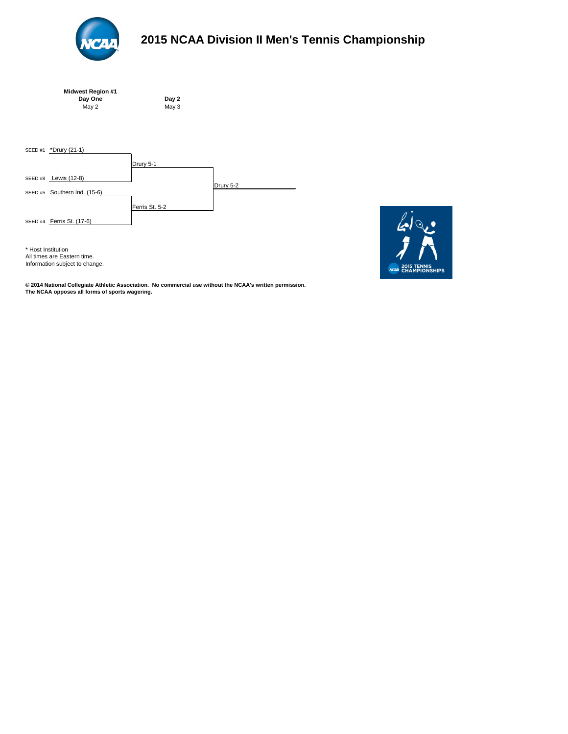| <b>Midwest Region #1</b> |  |
|--------------------------|--|
| Day One                  |  |
| May 2                    |  |

**Day 2**  $May<sub>3</sub>$ 





# **2015 NCAA Division II Men's Tennis Championship**

**© 2014 National Collegiate Athletic Association. No commercial use without the NCAA's written permission. The NCAA opposes all forms of sports wagering.** 



\* Host Institution All times are Eastern time. Information subject to change.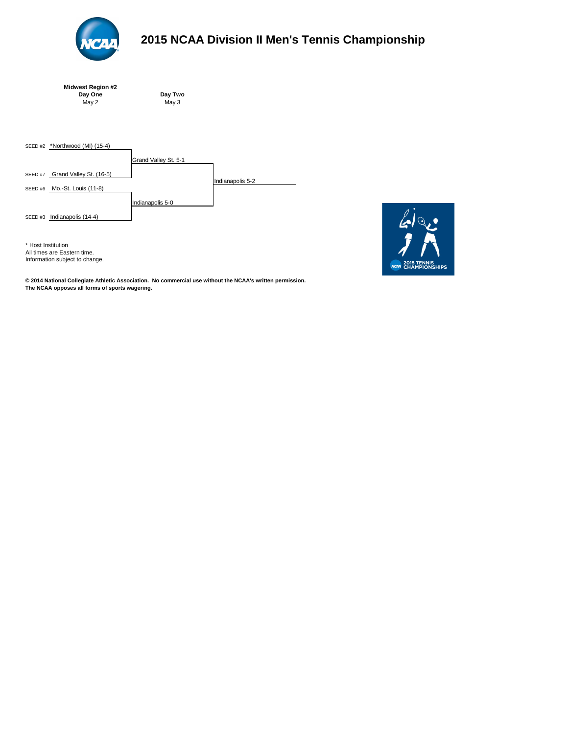| <b>Midwest Region #2</b> |  |
|--------------------------|--|
| Day One                  |  |
| May 2                    |  |

SEED #2 **\*Northwood (MI) (15-4)** Grand Valley St. 5-1 SEED #7 Grand Valley St. (16-5) Indianapolis 5-2 SEED #6 Mo.-St. Louis (11-8) Indianapolis 5-0 SEED #3 **Indianapolis (14-4)** 



# **2015 NCAA Division II Men's Tennis Championship**

\* Host Institution All times are Eastern time. Information subject to change.

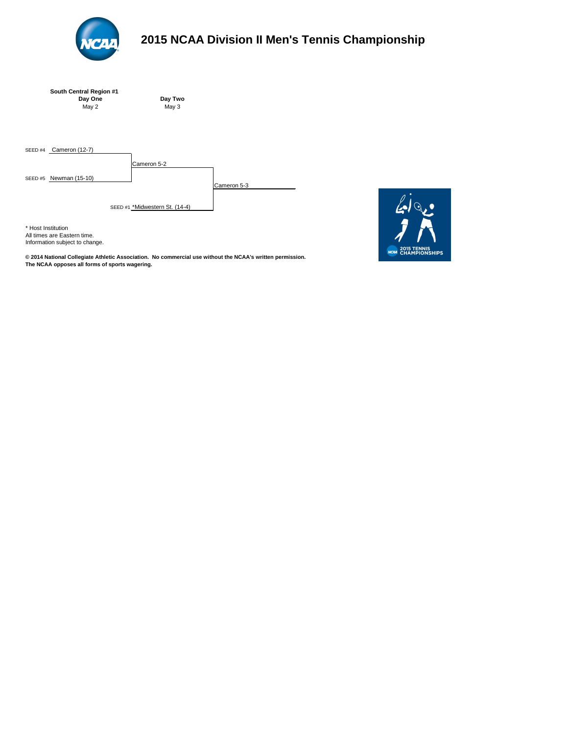| <b>South Central Region #1</b> |
|--------------------------------|
| Day One                        |
| May 2                          |

SEED #4 Cameron (12-7)

Cameron 5-2

SEED #5 Newman (15-10)

Cameron 5-3

SEED #1 \*Midwestern St. (14-4)

\* Host Institution All times are Eastern time. Information subject to change.



# **2015 NCAA Division II Men's Tennis Championship**

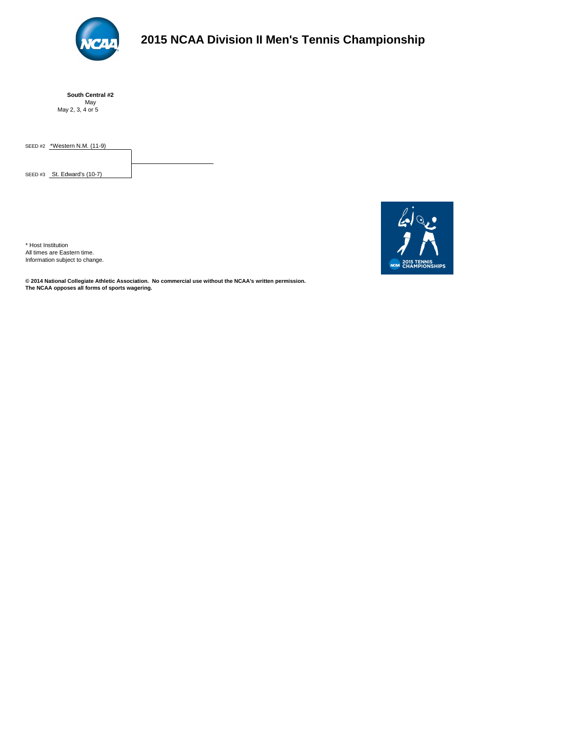

# **2015 NCAA Division II Men's Tennis Championship**

**South Central #2** May May 2, 3, 4 or 5

SEED #2 \*Western N.M. (11-9)

SEED #3 St. Edward's (10-7)

**© 2014 National Collegiate Athletic Association. No commercial use without the NCAA's written permission. The NCAA opposes all forms of sports wagering.** 



\* Host Institution All times are Eastern time. Information subject to change.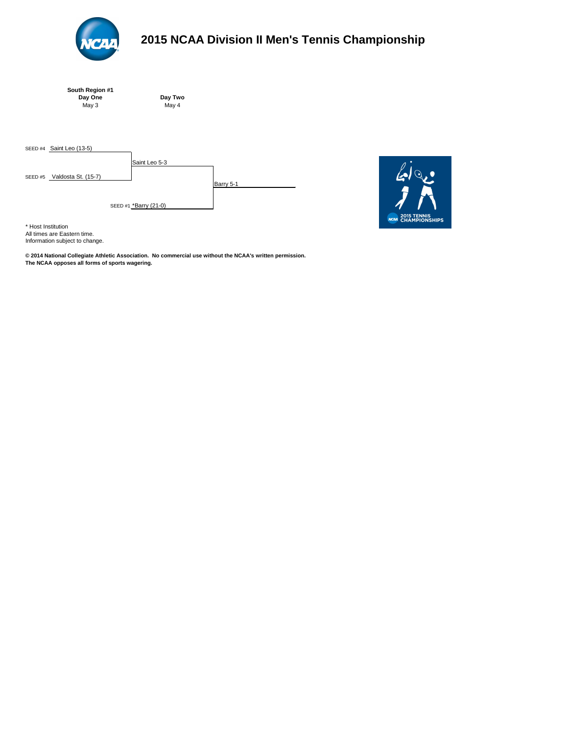| South Region #1 |  |
|-----------------|--|
| Day One         |  |
| May 3           |  |

SEED #4 **Saint Leo (13-5)** Saint Leo 5-3 SEED #5 Valdosta St. (15-7) Barry 5-1 SEED #1 \*Barry (21-0)



\* Host Institution

All times are Eastern time. Information subject to change.



# **2015 NCAA Division II Men's Tennis Championship**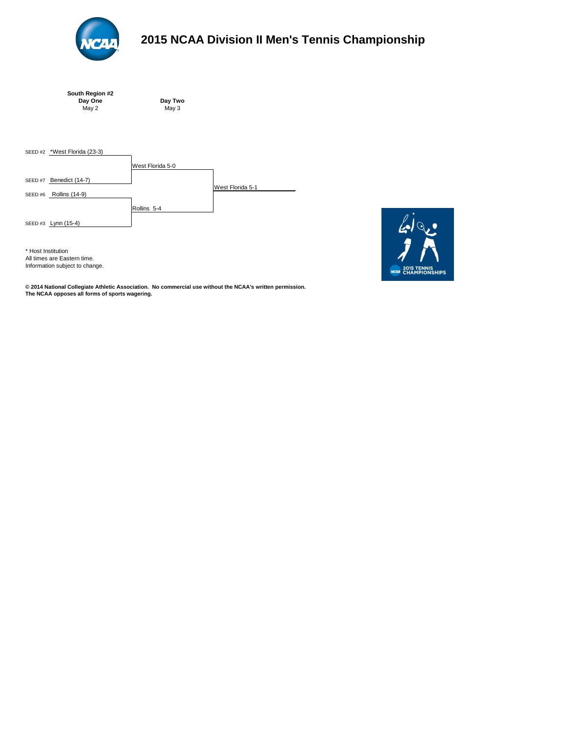| South Region #2 |         |
|-----------------|---------|
| Day One         | Day Two |
| May 2           | May $3$ |

**Day Two** 





# **2015 NCAA Division II Men's Tennis Championship**

**© 2014 National Collegiate Athletic Association. No commercial use without the NCAA's written permission. The NCAA opposes all forms of sports wagering.** 



\* Host Institution All times are Eastern time. Information subject to change.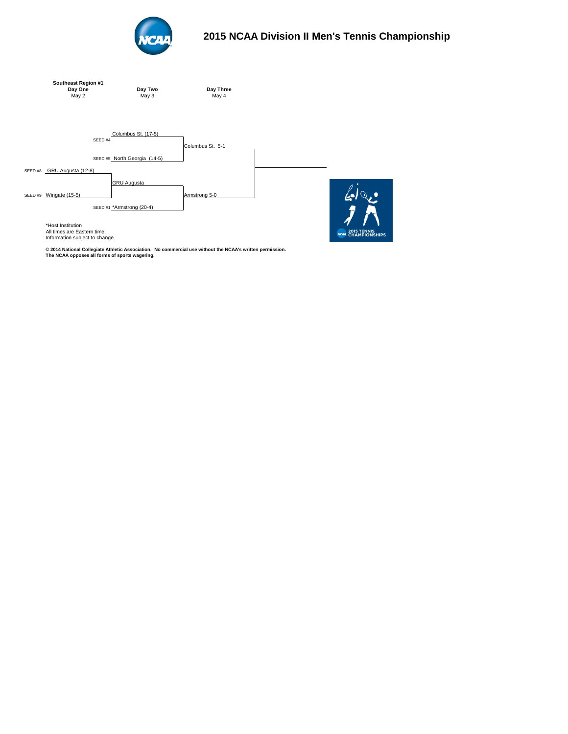



# **2015 NCAA Division II Men's Tennis Championship**

All times are Eastern time. Information subject to change.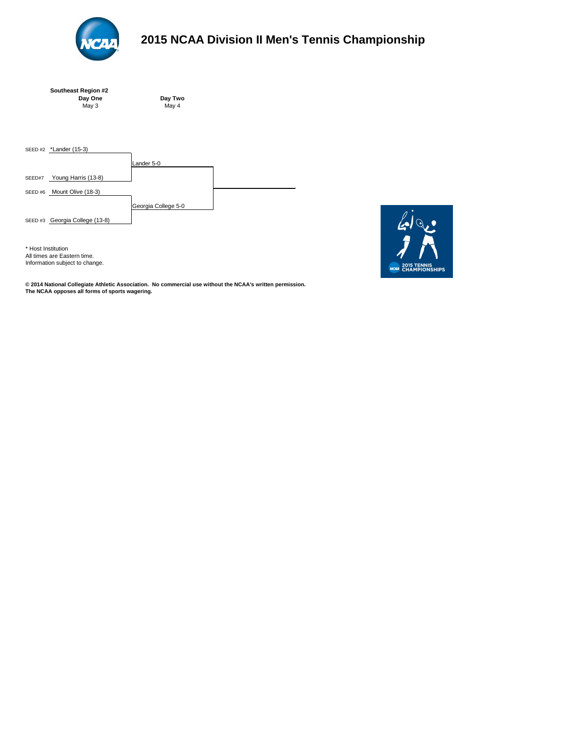| <b>Southeast Region #2</b> |  |
|----------------------------|--|
| Day One                    |  |
| May 3                      |  |



# **2015 NCAA Division II Men's Tennis Championship**



\* Host Institution All times are Eastern time. Information subject to change.